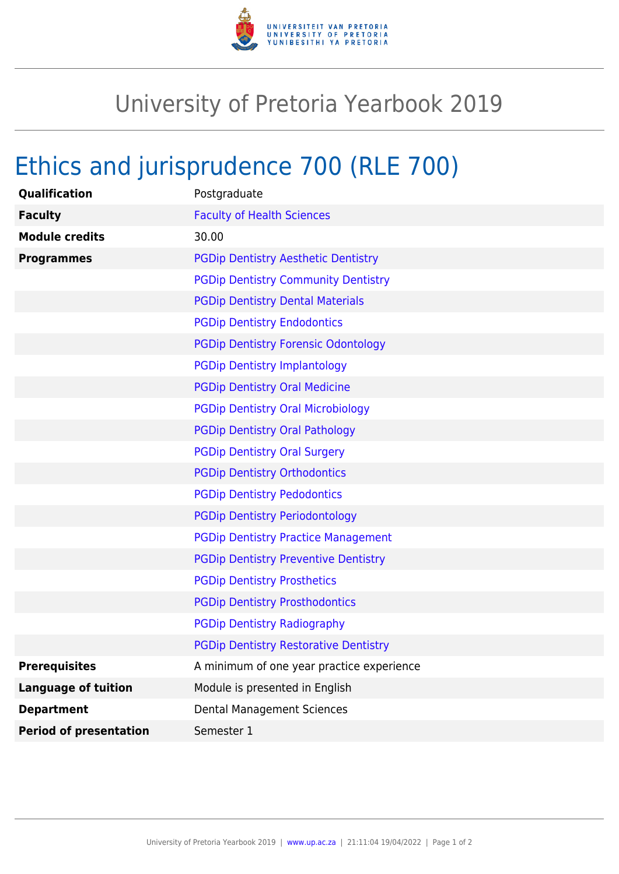

## University of Pretoria Yearbook 2019

## Ethics and jurisprudence 700 (RLE 700)

| Qualification                 | Postgraduate                                 |
|-------------------------------|----------------------------------------------|
| <b>Faculty</b>                | <b>Faculty of Health Sciences</b>            |
| <b>Module credits</b>         | 30.00                                        |
| <b>Programmes</b>             | <b>PGDip Dentistry Aesthetic Dentistry</b>   |
|                               | <b>PGDip Dentistry Community Dentistry</b>   |
|                               | <b>PGDip Dentistry Dental Materials</b>      |
|                               | <b>PGDip Dentistry Endodontics</b>           |
|                               | <b>PGDip Dentistry Forensic Odontology</b>   |
|                               | <b>PGDip Dentistry Implantology</b>          |
|                               | <b>PGDip Dentistry Oral Medicine</b>         |
|                               | <b>PGDip Dentistry Oral Microbiology</b>     |
|                               | <b>PGDip Dentistry Oral Pathology</b>        |
|                               | <b>PGDip Dentistry Oral Surgery</b>          |
|                               | <b>PGDip Dentistry Orthodontics</b>          |
|                               | <b>PGDip Dentistry Pedodontics</b>           |
|                               | <b>PGDip Dentistry Periodontology</b>        |
|                               | <b>PGDip Dentistry Practice Management</b>   |
|                               | <b>PGDip Dentistry Preventive Dentistry</b>  |
|                               | <b>PGDip Dentistry Prosthetics</b>           |
|                               | <b>PGDip Dentistry Prosthodontics</b>        |
|                               | <b>PGDip Dentistry Radiography</b>           |
|                               | <b>PGDip Dentistry Restorative Dentistry</b> |
| <b>Prerequisites</b>          | A minimum of one year practice experience    |
| <b>Language of tuition</b>    | Module is presented in English               |
| <b>Department</b>             | <b>Dental Management Sciences</b>            |
| <b>Period of presentation</b> | Semester 1                                   |